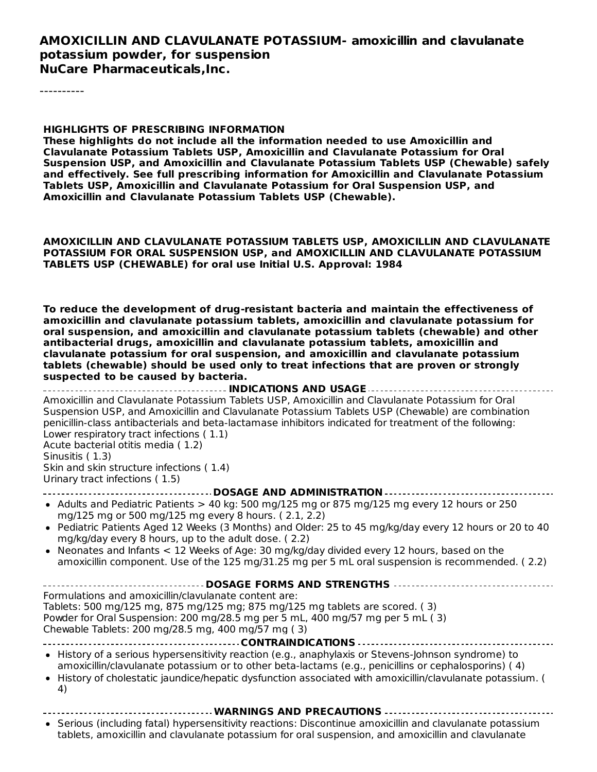#### **AMOXICILLIN AND CLAVULANATE POTASSIUM- amoxicillin and clavulanate potassium powder, for suspension NuCare Pharmaceuticals,Inc.**

----------

#### **HIGHLIGHTS OF PRESCRIBING INFORMATION**

**These highlights do not include all the information needed to use Amoxicillin and Clavulanate Potassium Tablets USP, Amoxicillin and Clavulanate Potassium for Oral Suspension USP, and Amoxicillin and Clavulanate Potassium Tablets USP (Chewable) safely and effectively. See full prescribing information for Amoxicillin and Clavulanate Potassium Tablets USP, Amoxicillin and Clavulanate Potassium for Oral Suspension USP, and Amoxicillin and Clavulanate Potassium Tablets USP (Chewable).**

**AMOXICILLIN AND CLAVULANATE POTASSIUM TABLETS USP, AMOXICILLIN AND CLAVULANATE POTASSIUM FOR ORAL SUSPENSION USP, and AMOXICILLIN AND CLAVULANATE POTASSIUM TABLETS USP (CHEWABLE) for oral use Initial U.S. Approval: 1984**

**To reduce the development of drug-resistant bacteria and maintain the effectiveness of amoxicillin and clavulanate potassium tablets, amoxicillin and clavulanate potassium for oral suspension, and amoxicillin and clavulanate potassium tablets (chewable) and other antibacterial drugs, amoxicillin and clavulanate potassium tablets, amoxicillin and clavulanate potassium for oral suspension, and amoxicillin and clavulanate potassium tablets (chewable) should be used only to treat infections that are proven or strongly suspected to be caused by bacteria.**

**INDICATIONS AND USAGE** Amoxicillin and Clavulanate Potassium Tablets USP, Amoxicillin and Clavulanate Potassium for Oral Suspension USP, and Amoxicillin and Clavulanate Potassium Tablets USP (Chewable) are combination penicillin-class antibacterials and beta-lactamase inhibitors indicated for treatment of the following: Lower respiratory tract infections ( 1.1) Acute bacterial otitis media ( 1.2) Sinusitis ( 1.3) Skin and skin structure infections ( 1.4) Urinary tract infections ( 1.5) **DOSAGE AND ADMINISTRATION** • Adults and Pediatric Patients > 40 kg: 500 mg/125 mg or 875 mg/125 mg every 12 hours or 250 mg/125 mg or 500 mg/125 mg every 8 hours. ( 2.1, 2.2) Pediatric Patients Aged 12 Weeks (3 Months) and Older: 25 to 45 mg/kg/day every 12 hours or 20 to 40 mg/kg/day every 8 hours, up to the adult dose. ( 2.2) Neonates and Infants < 12 Weeks of Age: 30 mg/kg/day divided every 12 hours, based on the  $\bullet$ amoxicillin component. Use of the 125 mg/31.25 mg per 5 mL oral suspension is recommended. ( 2.2) **DOSAGE FORMS AND STRENGTHS** Formulations and amoxicillin/clavulanate content are: Tablets: 500 mg/125 mg, 875 mg/125 mg; 875 mg/125 mg tablets are scored. ( 3) Powder for Oral Suspension: 200 mg/28.5 mg per 5 mL, 400 mg/57 mg per 5 mL ( 3) Chewable Tablets: 200 mg/28.5 mg, 400 mg/57 mg ( 3) **CONTRAINDICATIONS** History of a serious hypersensitivity reaction (e.g., anaphylaxis or Stevens-Johnson syndrome) to amoxicillin/clavulanate potassium or to other beta-lactams (e.g., penicillins or cephalosporins) ( 4) History of cholestatic jaundice/hepatic dysfunction associated with amoxicillin/clavulanate potassium. (  $\bullet$ 4) **WARNINGS AND PRECAUTIONS** Serious (including fatal) hypersensitivity reactions: Discontinue amoxicillin and clavulanate potassium tablets, amoxicillin and clavulanate potassium for oral suspension, and amoxicillin and clavulanate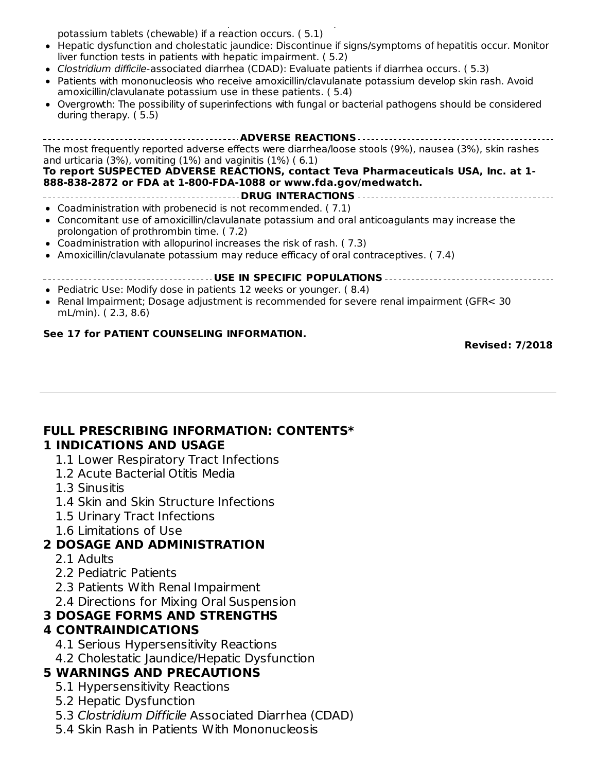tablets, amoxicillin and clavulanate potassium for oral suspension, and amoxicillin and clavulanate potassium tablets (chewable) if a reaction occurs. ( 5.1)

- Hepatic dysfunction and cholestatic jaundice: Discontinue if signs/symptoms of hepatitis occur. Monitor liver function tests in patients with hepatic impairment. ( 5.2)
- Clostridium difficile-associated diarrhea (CDAD): Evaluate patients if diarrhea occurs. ( 5.3)
- Patients with mononucleosis who receive amoxicillin/clavulanate potassium develop skin rash. Avoid amoxicillin/clavulanate potassium use in these patients. ( 5.4)
- Overgrowth: The possibility of superinfections with fungal or bacterial pathogens should be considered during therapy. ( 5.5)

| The most frequently reported adverse effects were diarrhea/loose stools (9%), nausea (3%), skin rashes<br>and urticaria $(3\%)$ , vomiting $(1\%)$ and vaginitis $(1\%)$ (6.1) |
|--------------------------------------------------------------------------------------------------------------------------------------------------------------------------------|
| To report SUSPECTED ADVERSE REACTIONS, contact Teva Pharmaceuticals USA, Inc. at 1-<br>888-838-2872 or FDA at 1-800-FDA-1088 or www.fda.gov/medwatch.                          |
|                                                                                                                                                                                |
| • Coadministration with probenecid is not recommended. (7.1)                                                                                                                   |
| • Concomitant use of amoxicillin/clavulanate potassium and oral anticoagulants may increase the<br>prolongation of prothrombin time. (7.2)                                     |
| • Coadministration with allopurinol increases the risk of rash. (7.3)                                                                                                          |
|                                                                                                                                                                                |

Amoxicillin/clavulanate potassium may reduce efficacy of oral contraceptives. ( 7.4)

#### **USE IN SPECIFIC POPULATIONS**

- Pediatric Use: Modify dose in patients 12 weeks or younger. ( 8.4)
- Renal Impairment; Dosage adjustment is recommended for severe renal impairment (GFR< 30 mL/min). ( 2.3, 8.6)

#### **See 17 for PATIENT COUNSELING INFORMATION.**

**Revised: 7/2018**

#### **FULL PRESCRIBING INFORMATION: CONTENTS\***

#### **1 INDICATIONS AND USAGE**

- 1.1 Lower Respiratory Tract Infections
- 1.2 Acute Bacterial Otitis Media
- 1.3 Sinusitis
- 1.4 Skin and Skin Structure Infections
- 1.5 Urinary Tract Infections
- 1.6 Limitations of Use

#### **2 DOSAGE AND ADMINISTRATION**

- 2.1 Adults
- 2.2 Pediatric Patients
- 2.3 Patients With Renal Impairment
- 2.4 Directions for Mixing Oral Suspension

### **3 DOSAGE FORMS AND STRENGTHS**

#### **4 CONTRAINDICATIONS**

- 4.1 Serious Hypersensitivity Reactions
- 4.2 Cholestatic Jaundice/Hepatic Dysfunction

#### **5 WARNINGS AND PRECAUTIONS**

- 5.1 Hypersensitivity Reactions
- 5.2 Hepatic Dysfunction
- 5.3 Clostridium Difficile Associated Diarrhea (CDAD)
- 5.4 Skin Rash in Patients With Mononucleosis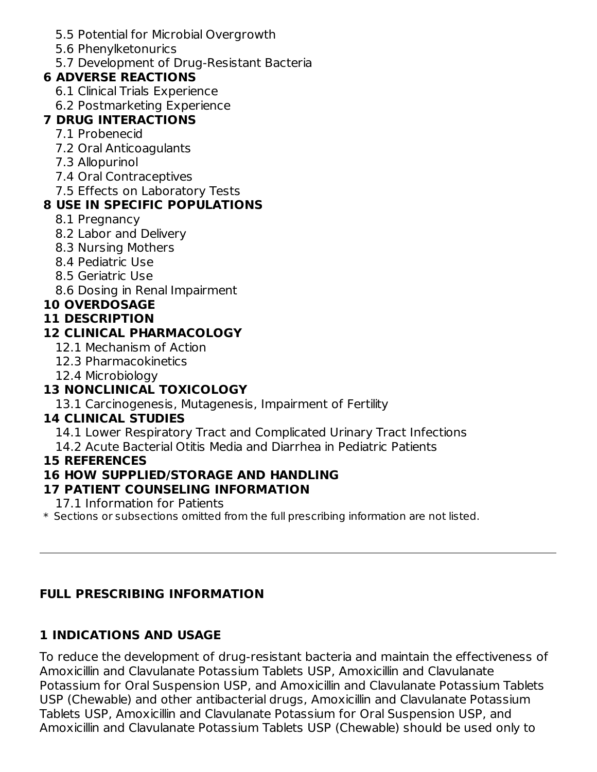- 5.5 Potential for Microbial Overgrowth
- 5.6 Phenylketonurics
- 5.7 Development of Drug-Resistant Bacteria

## **6 ADVERSE REACTIONS**

- 6.1 Clinical Trials Experience
- 6.2 Postmarketing Experience

### **7 DRUG INTERACTIONS**

- 7.1 Probenecid
- 7.2 Oral Anticoagulants
- 7.3 Allopurinol
- 7.4 Oral Contraceptives
- 7.5 Effects on Laboratory Tests

## **8 USE IN SPECIFIC POPULATIONS**

- 8.1 Pregnancy
- 8.2 Labor and Delivery
- 8.3 Nursing Mothers
- 8.4 Pediatric Use
- 8.5 Geriatric Use
- 8.6 Dosing in Renal Impairment

## **10 OVERDOSAGE**

### **11 DESCRIPTION**

## **12 CLINICAL PHARMACOLOGY**

- 12.1 Mechanism of Action
- 12.3 Pharmacokinetics
- 12.4 Microbiology

## **13 NONCLINICAL TOXICOLOGY**

13.1 Carcinogenesis, Mutagenesis, Impairment of Fertility

## **14 CLINICAL STUDIES**

14.1 Lower Respiratory Tract and Complicated Urinary Tract Infections

14.2 Acute Bacterial Otitis Media and Diarrhea in Pediatric Patients

### **15 REFERENCES**

## **16 HOW SUPPLIED/STORAGE AND HANDLING**

### **17 PATIENT COUNSELING INFORMATION**

17.1 Information for Patients

 $\ast$  Sections or subsections omitted from the full prescribing information are not listed.

## **FULL PRESCRIBING INFORMATION**

## **1 INDICATIONS AND USAGE**

To reduce the development of drug-resistant bacteria and maintain the effectiveness of Amoxicillin and Clavulanate Potassium Tablets USP, Amoxicillin and Clavulanate Potassium for Oral Suspension USP, and Amoxicillin and Clavulanate Potassium Tablets USP (Chewable) and other antibacterial drugs, Amoxicillin and Clavulanate Potassium Tablets USP, Amoxicillin and Clavulanate Potassium for Oral Suspension USP, and Amoxicillin and Clavulanate Potassium Tablets USP (Chewable) should be used only to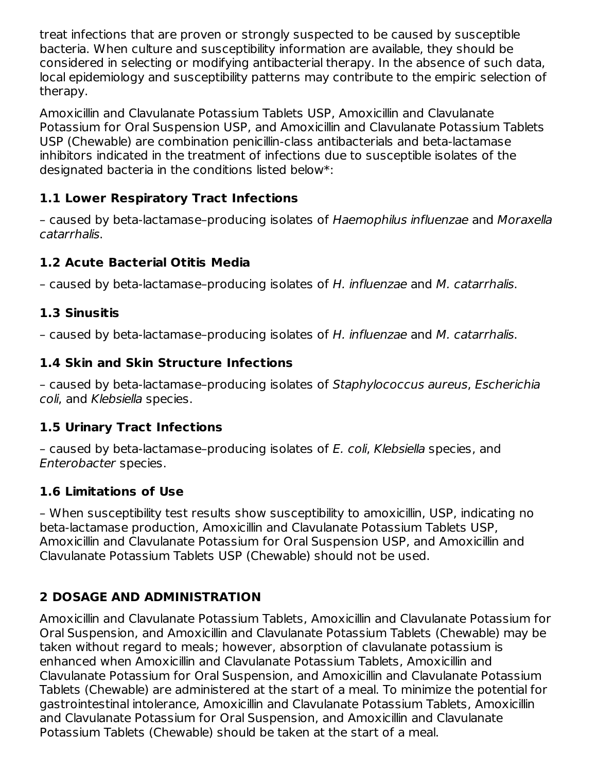treat infections that are proven or strongly suspected to be caused by susceptible bacteria. When culture and susceptibility information are available, they should be considered in selecting or modifying antibacterial therapy. In the absence of such data, local epidemiology and susceptibility patterns may contribute to the empiric selection of therapy.

Amoxicillin and Clavulanate Potassium Tablets USP, Amoxicillin and Clavulanate Potassium for Oral Suspension USP, and Amoxicillin and Clavulanate Potassium Tablets USP (Chewable) are combination penicillin-class antibacterials and beta-lactamase inhibitors indicated in the treatment of infections due to susceptible isolates of the designated bacteria in the conditions listed below\*:

### **1.1 Lower Respiratory Tract Infections**

– caused by beta-lactamase–producing isolates of Haemophilus influenzae and Moraxella catarrhalis.

### **1.2 Acute Bacterial Otitis Media**

– caused by beta-lactamase–producing isolates of H. influenzae and M. catarrhalis.

### **1.3 Sinusitis**

– caused by beta-lactamase–producing isolates of H. influenzae and M. catarrhalis.

### **1.4 Skin and Skin Structure Infections**

– caused by beta-lactamase–producing isolates of Staphylococcus aureus, Escherichia coli, and Klebsiella species.

### **1.5 Urinary Tract Infections**

– caused by beta-lactamase–producing isolates of E. coli, Klebsiella species, and Enterobacter species.

### **1.6 Limitations of Use**

– When susceptibility test results show susceptibility to amoxicillin, USP, indicating no beta-lactamase production, Amoxicillin and Clavulanate Potassium Tablets USP, Amoxicillin and Clavulanate Potassium for Oral Suspension USP, and Amoxicillin and Clavulanate Potassium Tablets USP (Chewable) should not be used.

### **2 DOSAGE AND ADMINISTRATION**

Amoxicillin and Clavulanate Potassium Tablets, Amoxicillin and Clavulanate Potassium for Oral Suspension, and Amoxicillin and Clavulanate Potassium Tablets (Chewable) may be taken without regard to meals; however, absorption of clavulanate potassium is enhanced when Amoxicillin and Clavulanate Potassium Tablets, Amoxicillin and Clavulanate Potassium for Oral Suspension, and Amoxicillin and Clavulanate Potassium Tablets (Chewable) are administered at the start of a meal. To minimize the potential for gastrointestinal intolerance, Amoxicillin and Clavulanate Potassium Tablets, Amoxicillin and Clavulanate Potassium for Oral Suspension, and Amoxicillin and Clavulanate Potassium Tablets (Chewable) should be taken at the start of a meal.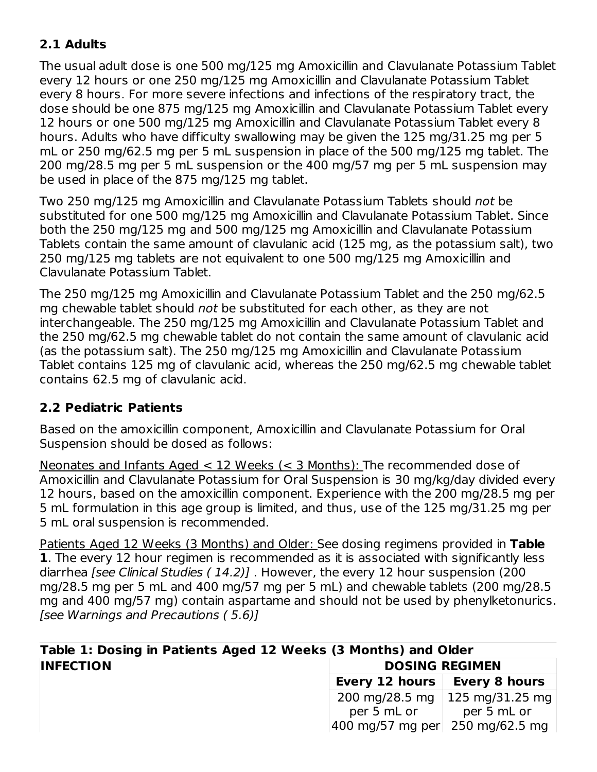### **2.1 Adults**

The usual adult dose is one 500 mg/125 mg Amoxicillin and Clavulanate Potassium Tablet every 12 hours or one 250 mg/125 mg Amoxicillin and Clavulanate Potassium Tablet every 8 hours. For more severe infections and infections of the respiratory tract, the dose should be one 875 mg/125 mg Amoxicillin and Clavulanate Potassium Tablet every 12 hours or one 500 mg/125 mg Amoxicillin and Clavulanate Potassium Tablet every 8 hours. Adults who have difficulty swallowing may be given the 125 mg/31.25 mg per 5 mL or 250 mg/62.5 mg per 5 mL suspension in place of the 500 mg/125 mg tablet. The 200 mg/28.5 mg per 5 mL suspension or the 400 mg/57 mg per 5 mL suspension may be used in place of the 875 mg/125 mg tablet.

Two 250 mg/125 mg Amoxicillin and Clavulanate Potassium Tablets should not be substituted for one 500 mg/125 mg Amoxicillin and Clavulanate Potassium Tablet. Since both the 250 mg/125 mg and 500 mg/125 mg Amoxicillin and Clavulanate Potassium Tablets contain the same amount of clavulanic acid (125 mg, as the potassium salt), two 250 mg/125 mg tablets are not equivalent to one 500 mg/125 mg Amoxicillin and Clavulanate Potassium Tablet.

The 250 mg/125 mg Amoxicillin and Clavulanate Potassium Tablet and the 250 mg/62.5 mg chewable tablet should not be substituted for each other, as they are not interchangeable. The 250 mg/125 mg Amoxicillin and Clavulanate Potassium Tablet and the 250 mg/62.5 mg chewable tablet do not contain the same amount of clavulanic acid (as the potassium salt). The 250 mg/125 mg Amoxicillin and Clavulanate Potassium Tablet contains 125 mg of clavulanic acid, whereas the 250 mg/62.5 mg chewable tablet contains 62.5 mg of clavulanic acid.

### **2.2 Pediatric Patients**

Based on the amoxicillin component, Amoxicillin and Clavulanate Potassium for Oral Suspension should be dosed as follows:

Neonates and Infants Aged < 12 Weeks (< 3 Months): The recommended dose of Amoxicillin and Clavulanate Potassium for Oral Suspension is 30 mg/kg/day divided every 12 hours, based on the amoxicillin component. Experience with the 200 mg/28.5 mg per 5 mL formulation in this age group is limited, and thus, use of the 125 mg/31.25 mg per 5 mL oral suspension is recommended.

Patients Aged 12 Weeks (3 Months) and Older: See dosing regimens provided in **Table 1**. The every 12 hour regimen is recommended as it is associated with significantly less diarrhea *[see Clinical Studies (14.2)]*. However, the every 12 hour suspension (200 mg/28.5 mg per 5 mL and 400 mg/57 mg per 5 mL) and chewable tablets (200 mg/28.5 mg and 400 mg/57 mg) contain aspartame and should not be used by phenylketonurics. [see Warnings and Precautions ( 5.6)]

| Table 1: Dosing in Patients Aged 12 Weeks (3 Months) and Older |                                                                       |                 |  |  |
|----------------------------------------------------------------|-----------------------------------------------------------------------|-----------------|--|--|
| <b>INFECTION</b><br><b>DOSING REGIMEN</b>                      |                                                                       |                 |  |  |
|                                                                | Every 12 hours   Every 8 hours                                        |                 |  |  |
|                                                                | 200 mg/28.5 mg                                                        | 125 mg/31.25 mg |  |  |
|                                                                | per 5 mL or                                                           | per 5 mL or     |  |  |
|                                                                | $ 400 \text{ mg}}/57 \text{ mg per}  250 \text{ mg}}/62.5 \text{ mg}$ |                 |  |  |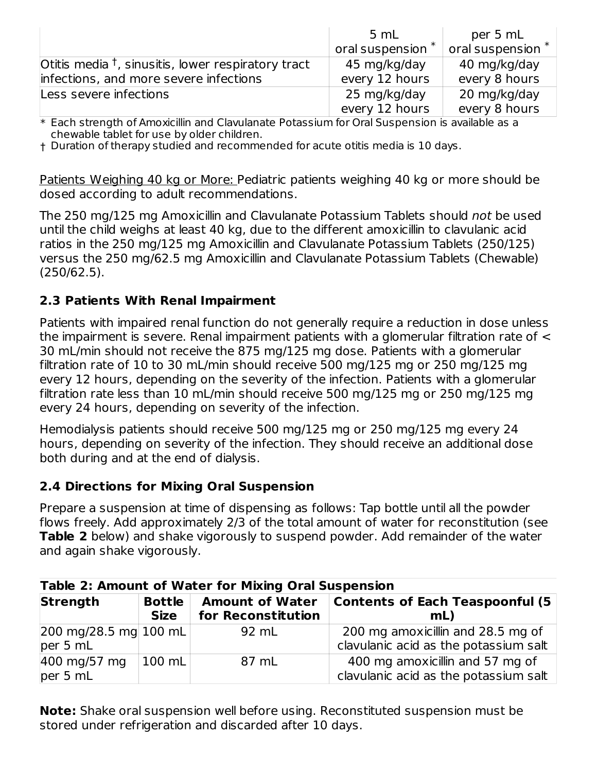|                                                       | 5 mL                | per 5 mL          |
|-------------------------------------------------------|---------------------|-------------------|
|                                                       | oral suspension $*$ | oral suspension * |
| Otitis media $†$ , sinusitis, lower respiratory tract | 45 mg/kg/day        | 40 mg/kg/day      |
| infections, and more severe infections                | every 12 hours      | every 8 hours     |
| Less severe infections                                | 25 mg/kg/day        | 20 mg/kg/day      |
|                                                       | every 12 hours      | every 8 hours     |

 $\ast$  Each strength of Amoxicillin and Clavulanate Potassium for Oral Suspension is available as a chewable tablet for use by older children.

† Duration of therapy studied and recommended for acute otitis media is 10 days.

Patients Weighing 40 kg or More: Pediatric patients weighing 40 kg or more should be dosed according to adult recommendations.

The 250 mg/125 mg Amoxicillin and Clavulanate Potassium Tablets should not be used until the child weighs at least 40 kg, due to the different amoxicillin to clavulanic acid ratios in the 250 mg/125 mg Amoxicillin and Clavulanate Potassium Tablets (250/125) versus the 250 mg/62.5 mg Amoxicillin and Clavulanate Potassium Tablets (Chewable) (250/62.5).

### **2.3 Patients With Renal Impairment**

Patients with impaired renal function do not generally require a reduction in dose unless the impairment is severe. Renal impairment patients with a glomerular filtration rate of < 30 mL/min should not receive the 875 mg/125 mg dose. Patients with a glomerular filtration rate of 10 to 30 mL/min should receive 500 mg/125 mg or 250 mg/125 mg every 12 hours, depending on the severity of the infection. Patients with a glomerular filtration rate less than 10 mL/min should receive 500 mg/125 mg or 250 mg/125 mg every 24 hours, depending on severity of the infection.

Hemodialysis patients should receive 500 mg/125 mg or 250 mg/125 mg every 24 hours, depending on severity of the infection. They should receive an additional dose both during and at the end of dialysis.

### **2.4 Directions for Mixing Oral Suspension**

Prepare a suspension at time of dispensing as follows: Tap bottle until all the powder flows freely. Add approximately 2/3 of the total amount of water for reconstitution (see **Table 2** below) and shake vigorously to suspend powder. Add remainder of the water and again shake vigorously.

| <b>Table 2: Amount of Water for Mixing Oral Suspension</b>     |                              |                                              |                                                                            |  |  |
|----------------------------------------------------------------|------------------------------|----------------------------------------------|----------------------------------------------------------------------------|--|--|
| <b>Strength</b>                                                | <b>Bottle</b><br><b>Size</b> | <b>Amount of Water</b><br>for Reconstitution | <b>Contents of Each Teaspoonful (5)</b><br>mL                              |  |  |
| $ 200 \text{ mg}/28.5 \text{ mg}  100 \text{ mL} $<br>per 5 mL |                              | 92 mL                                        | 200 mg amoxicillin and 28.5 mg of<br>clavulanic acid as the potassium salt |  |  |
| 400 mg/57 mg<br>per 5 mL                                       | $ 100 \text{ mL} $           | 87 mL                                        | 400 mg amoxicillin and 57 mg of<br>clavulanic acid as the potassium salt   |  |  |

**Note:** Shake oral suspension well before using. Reconstituted suspension must be stored under refrigeration and discarded after 10 days.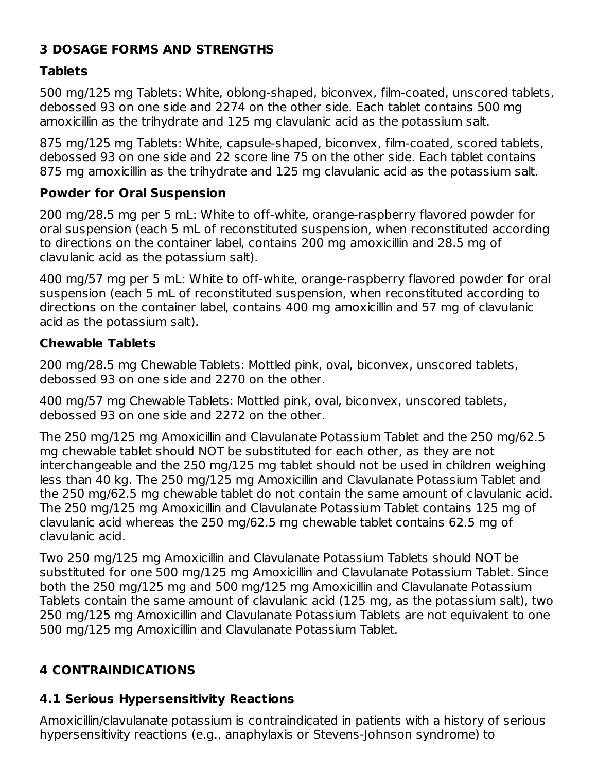## **3 DOSAGE FORMS AND STRENGTHS**

### **Tablets**

500 mg/125 mg Tablets: White, oblong-shaped, biconvex, film-coated, unscored tablets, debossed 93 on one side and 2274 on the other side. Each tablet contains 500 mg amoxicillin as the trihydrate and 125 mg clavulanic acid as the potassium salt.

875 mg/125 mg Tablets: White, capsule-shaped, biconvex, film-coated, scored tablets, debossed 93 on one side and 22 score line 75 on the other side. Each tablet contains 875 mg amoxicillin as the trihydrate and 125 mg clavulanic acid as the potassium salt.

### **Powder for Oral Suspension**

200 mg/28.5 mg per 5 mL: White to off-white, orange-raspberry flavored powder for oral suspension (each 5 mL of reconstituted suspension, when reconstituted according to directions on the container label, contains 200 mg amoxicillin and 28.5 mg of clavulanic acid as the potassium salt).

400 mg/57 mg per 5 mL: White to off-white, orange-raspberry flavored powder for oral suspension (each 5 mL of reconstituted suspension, when reconstituted according to directions on the container label, contains 400 mg amoxicillin and 57 mg of clavulanic acid as the potassium salt).

### **Chewable Tablets**

200 mg/28.5 mg Chewable Tablets: Mottled pink, oval, biconvex, unscored tablets, debossed 93 on one side and 2270 on the other.

400 mg/57 mg Chewable Tablets: Mottled pink, oval, biconvex, unscored tablets, debossed 93 on one side and 2272 on the other.

The 250 mg/125 mg Amoxicillin and Clavulanate Potassium Tablet and the 250 mg/62.5 mg chewable tablet should NOT be substituted for each other, as they are not interchangeable and the 250 mg/125 mg tablet should not be used in children weighing less than 40 kg. The 250 mg/125 mg Amoxicillin and Clavulanate Potassium Tablet and the 250 mg/62.5 mg chewable tablet do not contain the same amount of clavulanic acid. The 250 mg/125 mg Amoxicillin and Clavulanate Potassium Tablet contains 125 mg of clavulanic acid whereas the 250 mg/62.5 mg chewable tablet contains 62.5 mg of clavulanic acid.

Two 250 mg/125 mg Amoxicillin and Clavulanate Potassium Tablets should NOT be substituted for one 500 mg/125 mg Amoxicillin and Clavulanate Potassium Tablet. Since both the 250 mg/125 mg and 500 mg/125 mg Amoxicillin and Clavulanate Potassium Tablets contain the same amount of clavulanic acid (125 mg, as the potassium salt), two 250 mg/125 mg Amoxicillin and Clavulanate Potassium Tablets are not equivalent to one 500 mg/125 mg Amoxicillin and Clavulanate Potassium Tablet.

## **4 CONTRAINDICATIONS**

### **4.1 Serious Hypersensitivity Reactions**

Amoxicillin/clavulanate potassium is contraindicated in patients with a history of serious hypersensitivity reactions (e.g., anaphylaxis or Stevens-Johnson syndrome) to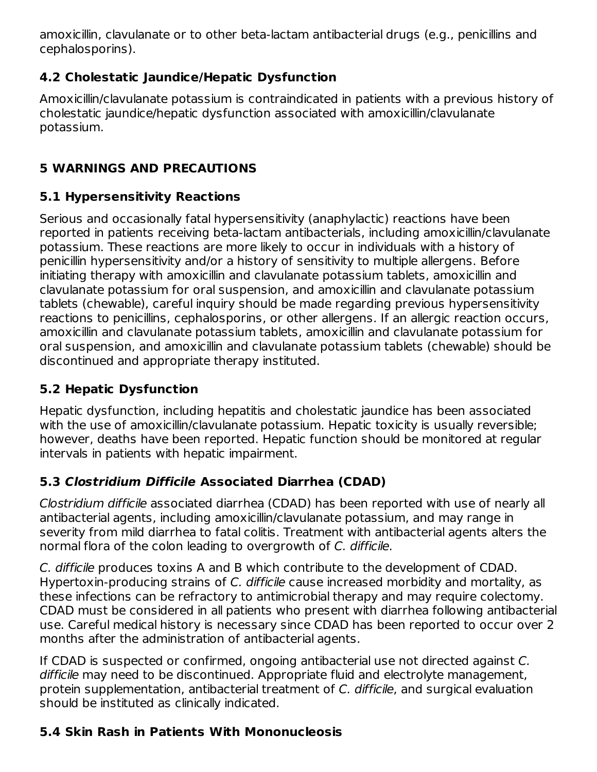amoxicillin, clavulanate or to other beta-lactam antibacterial drugs (e.g., penicillins and cephalosporins).

## **4.2 Cholestatic Jaundice/Hepatic Dysfunction**

Amoxicillin/clavulanate potassium is contraindicated in patients with a previous history of cholestatic jaundice/hepatic dysfunction associated with amoxicillin/clavulanate potassium.

## **5 WARNINGS AND PRECAUTIONS**

## **5.1 Hypersensitivity Reactions**

Serious and occasionally fatal hypersensitivity (anaphylactic) reactions have been reported in patients receiving beta-lactam antibacterials, including amoxicillin/clavulanate potassium. These reactions are more likely to occur in individuals with a history of penicillin hypersensitivity and/or a history of sensitivity to multiple allergens. Before initiating therapy with amoxicillin and clavulanate potassium tablets, amoxicillin and clavulanate potassium for oral suspension, and amoxicillin and clavulanate potassium tablets (chewable), careful inquiry should be made regarding previous hypersensitivity reactions to penicillins, cephalosporins, or other allergens. If an allergic reaction occurs, amoxicillin and clavulanate potassium tablets, amoxicillin and clavulanate potassium for oral suspension, and amoxicillin and clavulanate potassium tablets (chewable) should be discontinued and appropriate therapy instituted.

# **5.2 Hepatic Dysfunction**

Hepatic dysfunction, including hepatitis and cholestatic jaundice has been associated with the use of amoxicillin/clavulanate potassium. Hepatic toxicity is usually reversible; however, deaths have been reported. Hepatic function should be monitored at regular intervals in patients with hepatic impairment.

# **5.3 Clostridium Difficile Associated Diarrhea (CDAD)**

Clostridium difficile associated diarrhea (CDAD) has been reported with use of nearly all antibacterial agents, including amoxicillin/clavulanate potassium, and may range in severity from mild diarrhea to fatal colitis. Treatment with antibacterial agents alters the normal flora of the colon leading to overgrowth of C. difficile.

C. difficile produces toxins A and B which contribute to the development of CDAD. Hypertoxin-producing strains of C. difficile cause increased morbidity and mortality, as these infections can be refractory to antimicrobial therapy and may require colectomy. CDAD must be considered in all patients who present with diarrhea following antibacterial use. Careful medical history is necessary since CDAD has been reported to occur over 2 months after the administration of antibacterial agents.

If CDAD is suspected or confirmed, ongoing antibacterial use not directed against C. difficile may need to be discontinued. Appropriate fluid and electrolyte management, protein supplementation, antibacterial treatment of C. difficile, and surgical evaluation should be instituted as clinically indicated.

# **5.4 Skin Rash in Patients With Mononucleosis**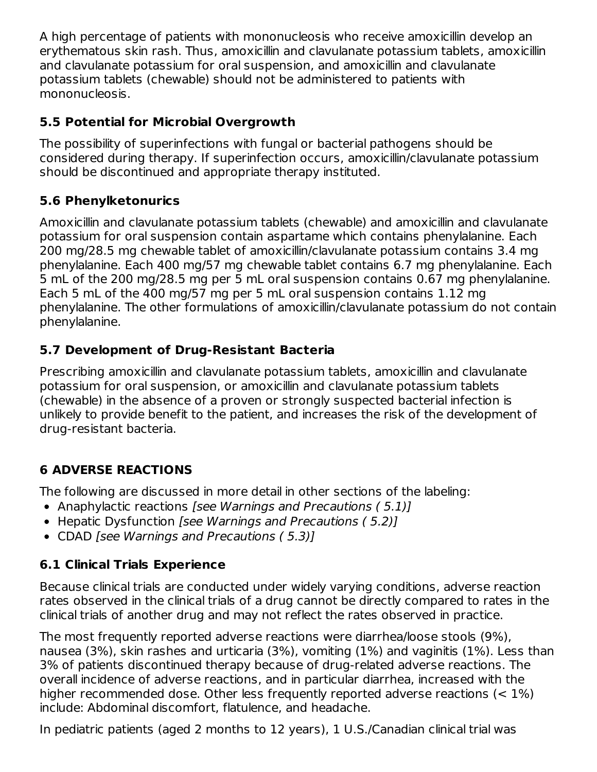A high percentage of patients with mononucleosis who receive amoxicillin develop an erythematous skin rash. Thus, amoxicillin and clavulanate potassium tablets, amoxicillin and clavulanate potassium for oral suspension, and amoxicillin and clavulanate potassium tablets (chewable) should not be administered to patients with mononucleosis.

### **5.5 Potential for Microbial Overgrowth**

The possibility of superinfections with fungal or bacterial pathogens should be considered during therapy. If superinfection occurs, amoxicillin/clavulanate potassium should be discontinued and appropriate therapy instituted.

### **5.6 Phenylketonurics**

Amoxicillin and clavulanate potassium tablets (chewable) and amoxicillin and clavulanate potassium for oral suspension contain aspartame which contains phenylalanine. Each 200 mg/28.5 mg chewable tablet of amoxicillin/clavulanate potassium contains 3.4 mg phenylalanine. Each 400 mg/57 mg chewable tablet contains 6.7 mg phenylalanine. Each 5 mL of the 200 mg/28.5 mg per 5 mL oral suspension contains 0.67 mg phenylalanine. Each 5 mL of the 400 mg/57 mg per 5 mL oral suspension contains 1.12 mg phenylalanine. The other formulations of amoxicillin/clavulanate potassium do not contain phenylalanine.

### **5.7 Development of Drug-Resistant Bacteria**

Prescribing amoxicillin and clavulanate potassium tablets, amoxicillin and clavulanate potassium for oral suspension, or amoxicillin and clavulanate potassium tablets (chewable) in the absence of a proven or strongly suspected bacterial infection is unlikely to provide benefit to the patient, and increases the risk of the development of drug-resistant bacteria.

## **6 ADVERSE REACTIONS**

The following are discussed in more detail in other sections of the labeling:

- Anaphylactic reactions [see Warnings and Precautions (5.1)]
- Hepatic Dysfunction [see Warnings and Precautions (5.2)]
- CDAD [see Warnings and Precautions (5.3)]

## **6.1 Clinical Trials Experience**

Because clinical trials are conducted under widely varying conditions, adverse reaction rates observed in the clinical trials of a drug cannot be directly compared to rates in the clinical trials of another drug and may not reflect the rates observed in practice.

The most frequently reported adverse reactions were diarrhea/loose stools (9%), nausea (3%), skin rashes and urticaria (3%), vomiting (1%) and vaginitis (1%). Less than 3% of patients discontinued therapy because of drug-related adverse reactions. The overall incidence of adverse reactions, and in particular diarrhea, increased with the higher recommended dose. Other less frequently reported adverse reactions (< 1%) include: Abdominal discomfort, flatulence, and headache.

In pediatric patients (aged 2 months to 12 years), 1 U.S./Canadian clinical trial was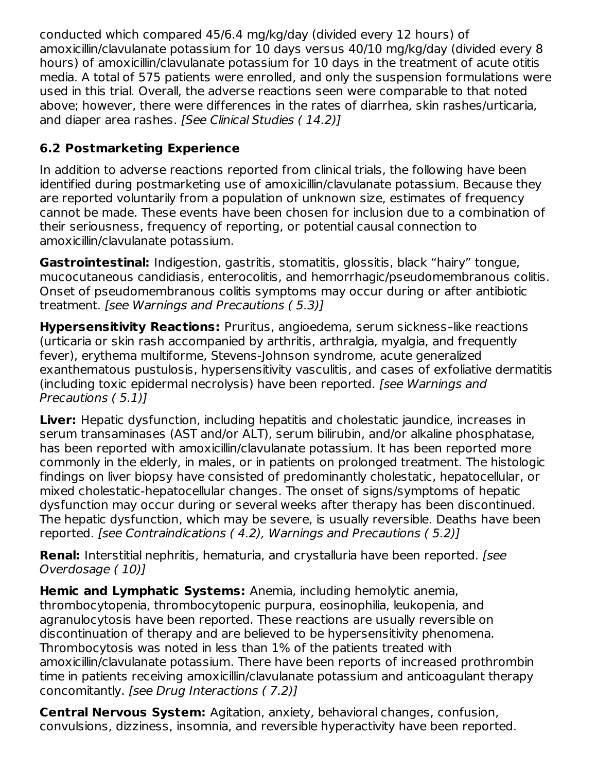conducted which compared 45/6.4 mg/kg/day (divided every 12 hours) of amoxicillin/clavulanate potassium for 10 days versus 40/10 mg/kg/day (divided every 8 hours) of amoxicillin/clavulanate potassium for 10 days in the treatment of acute otitis media. A total of 575 patients were enrolled, and only the suspension formulations were used in this trial. Overall, the adverse reactions seen were comparable to that noted above; however, there were differences in the rates of diarrhea, skin rashes/urticaria, and diaper area rashes. [See Clinical Studies (14.2)]

## **6.2 Postmarketing Experience**

In addition to adverse reactions reported from clinical trials, the following have been identified during postmarketing use of amoxicillin/clavulanate potassium. Because they are reported voluntarily from a population of unknown size, estimates of frequency cannot be made. These events have been chosen for inclusion due to a combination of their seriousness, frequency of reporting, or potential causal connection to amoxicillin/clavulanate potassium.

**Gastrointestinal:** Indigestion, gastritis, stomatitis, glossitis, black "hairy" tongue, mucocutaneous candidiasis, enterocolitis, and hemorrhagic/pseudomembranous colitis. Onset of pseudomembranous colitis symptoms may occur during or after antibiotic treatment. [see Warnings and Precautions ( 5.3)]

**Hypersensitivity Reactions:** Pruritus, angioedema, serum sickness–like reactions (urticaria or skin rash accompanied by arthritis, arthralgia, myalgia, and frequently fever), erythema multiforme, Stevens-Johnson syndrome, acute generalized exanthematous pustulosis, hypersensitivity vasculitis, and cases of exfoliative dermatitis (including toxic epidermal necrolysis) have been reported. [see Warnings and Precautions ( 5.1)]

**Liver:** Hepatic dysfunction, including hepatitis and cholestatic jaundice, increases in serum transaminases (AST and/or ALT), serum bilirubin, and/or alkaline phosphatase, has been reported with amoxicillin/clavulanate potassium. It has been reported more commonly in the elderly, in males, or in patients on prolonged treatment. The histologic findings on liver biopsy have consisted of predominantly cholestatic, hepatocellular, or mixed cholestatic-hepatocellular changes. The onset of signs/symptoms of hepatic dysfunction may occur during or several weeks after therapy has been discontinued. The hepatic dysfunction, which may be severe, is usually reversible. Deaths have been reported. [see Contraindications ( 4.2), Warnings and Precautions ( 5.2)]

**Renal:** Interstitial nephritis, hematuria, and crystalluria have been reported. *[see*] Overdosage ( 10)]

**Hemic and Lymphatic Systems:** Anemia, including hemolytic anemia, thrombocytopenia, thrombocytopenic purpura, eosinophilia, leukopenia, and agranulocytosis have been reported. These reactions are usually reversible on discontinuation of therapy and are believed to be hypersensitivity phenomena. Thrombocytosis was noted in less than 1% of the patients treated with amoxicillin/clavulanate potassium. There have been reports of increased prothrombin time in patients receiving amoxicillin/clavulanate potassium and anticoagulant therapy concomitantly. [see Drug Interactions ( 7.2)]

**Central Nervous System:** Agitation, anxiety, behavioral changes, confusion, convulsions, dizziness, insomnia, and reversible hyperactivity have been reported.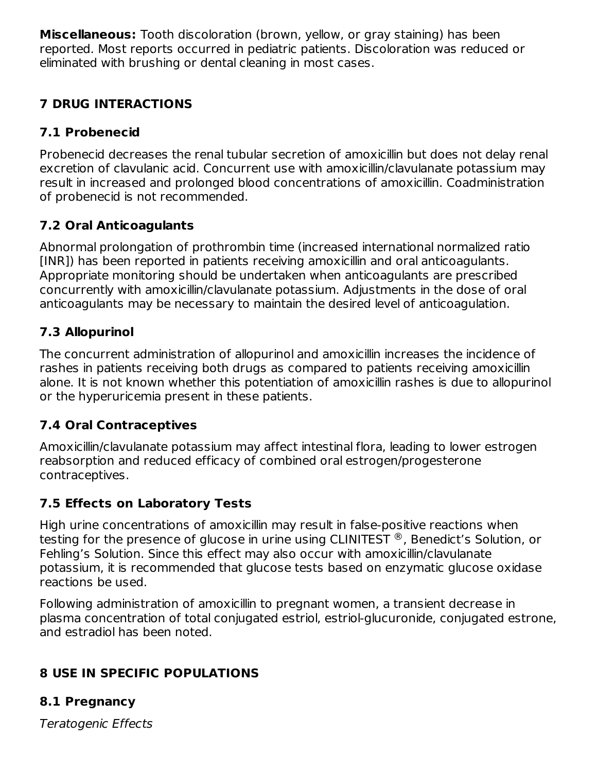**Miscellaneous:** Tooth discoloration (brown, yellow, or gray staining) has been reported. Most reports occurred in pediatric patients. Discoloration was reduced or eliminated with brushing or dental cleaning in most cases.

## **7 DRUG INTERACTIONS**

## **7.1 Probenecid**

Probenecid decreases the renal tubular secretion of amoxicillin but does not delay renal excretion of clavulanic acid. Concurrent use with amoxicillin/clavulanate potassium may result in increased and prolonged blood concentrations of amoxicillin. Coadministration of probenecid is not recommended.

## **7.2 Oral Anticoagulants**

Abnormal prolongation of prothrombin time (increased international normalized ratio [INR]) has been reported in patients receiving amoxicillin and oral anticoagulants. Appropriate monitoring should be undertaken when anticoagulants are prescribed concurrently with amoxicillin/clavulanate potassium. Adjustments in the dose of oral anticoagulants may be necessary to maintain the desired level of anticoagulation.

## **7.3 Allopurinol**

The concurrent administration of allopurinol and amoxicillin increases the incidence of rashes in patients receiving both drugs as compared to patients receiving amoxicillin alone. It is not known whether this potentiation of amoxicillin rashes is due to allopurinol or the hyperuricemia present in these patients.

## **7.4 Oral Contraceptives**

Amoxicillin/clavulanate potassium may affect intestinal flora, leading to lower estrogen reabsorption and reduced efficacy of combined oral estrogen/progesterone contraceptives.

## **7.5 Effects on Laboratory Tests**

High urine concentrations of amoxicillin may result in false-positive reactions when testing for the presence of glucose in urine using CLINITEST  $^\circledR$  , Benedict's Solution, or Fehling's Solution. Since this effect may also occur with amoxicillin/clavulanate potassium, it is recommended that glucose tests based on enzymatic glucose oxidase reactions be used.

Following administration of amoxicillin to pregnant women, a transient decrease in plasma concentration of total conjugated estriol, estriol-glucuronide, conjugated estrone, and estradiol has been noted.

## **8 USE IN SPECIFIC POPULATIONS**

## **8.1 Pregnancy**

Teratogenic Effects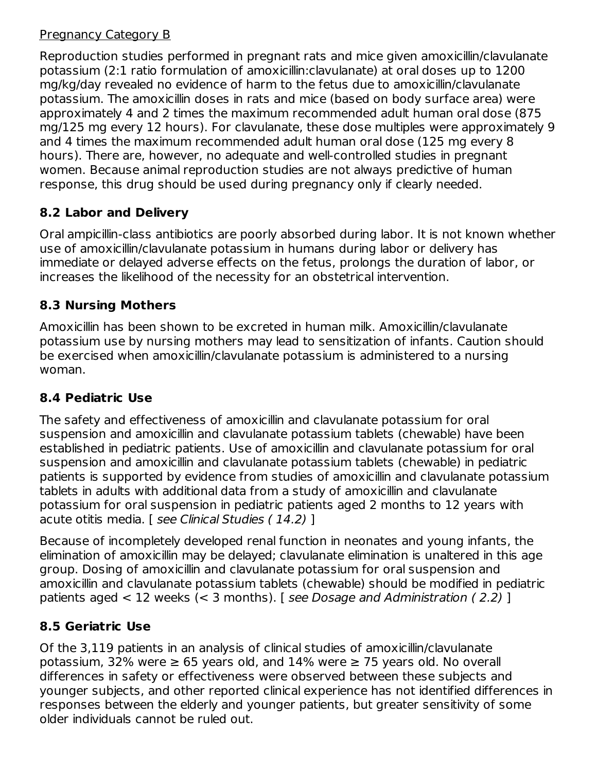### Pregnancy Category B

Reproduction studies performed in pregnant rats and mice given amoxicillin/clavulanate potassium (2:1 ratio formulation of amoxicillin:clavulanate) at oral doses up to 1200 mg/kg/day revealed no evidence of harm to the fetus due to amoxicillin/clavulanate potassium. The amoxicillin doses in rats and mice (based on body surface area) were approximately 4 and 2 times the maximum recommended adult human oral dose (875 mg/125 mg every 12 hours). For clavulanate, these dose multiples were approximately 9 and 4 times the maximum recommended adult human oral dose (125 mg every 8 hours). There are, however, no adequate and well-controlled studies in pregnant women. Because animal reproduction studies are not always predictive of human response, this drug should be used during pregnancy only if clearly needed.

## **8.2 Labor and Delivery**

Oral ampicillin-class antibiotics are poorly absorbed during labor. It is not known whether use of amoxicillin/clavulanate potassium in humans during labor or delivery has immediate or delayed adverse effects on the fetus, prolongs the duration of labor, or increases the likelihood of the necessity for an obstetrical intervention.

## **8.3 Nursing Mothers**

Amoxicillin has been shown to be excreted in human milk. Amoxicillin/clavulanate potassium use by nursing mothers may lead to sensitization of infants. Caution should be exercised when amoxicillin/clavulanate potassium is administered to a nursing woman.

## **8.4 Pediatric Use**

The safety and effectiveness of amoxicillin and clavulanate potassium for oral suspension and amoxicillin and clavulanate potassium tablets (chewable) have been established in pediatric patients. Use of amoxicillin and clavulanate potassium for oral suspension and amoxicillin and clavulanate potassium tablets (chewable) in pediatric patients is supported by evidence from studies of amoxicillin and clavulanate potassium tablets in adults with additional data from a study of amoxicillin and clavulanate potassium for oral suspension in pediatric patients aged 2 months to 12 years with acute otitis media. [ see Clinical Studies ( 14.2) ]

Because of incompletely developed renal function in neonates and young infants, the elimination of amoxicillin may be delayed; clavulanate elimination is unaltered in this age group. Dosing of amoxicillin and clavulanate potassium for oral suspension and amoxicillin and clavulanate potassium tablets (chewable) should be modified in pediatric patients aged < 12 weeks (< 3 months). [ see Dosage and Administration ( 2.2) ]

## **8.5 Geriatric Use**

Of the 3,119 patients in an analysis of clinical studies of amoxicillin/clavulanate potassium, 32% were  $\geq$  65 years old, and 14% were  $\geq$  75 years old. No overall differences in safety or effectiveness were observed between these subjects and younger subjects, and other reported clinical experience has not identified differences in responses between the elderly and younger patients, but greater sensitivity of some older individuals cannot be ruled out.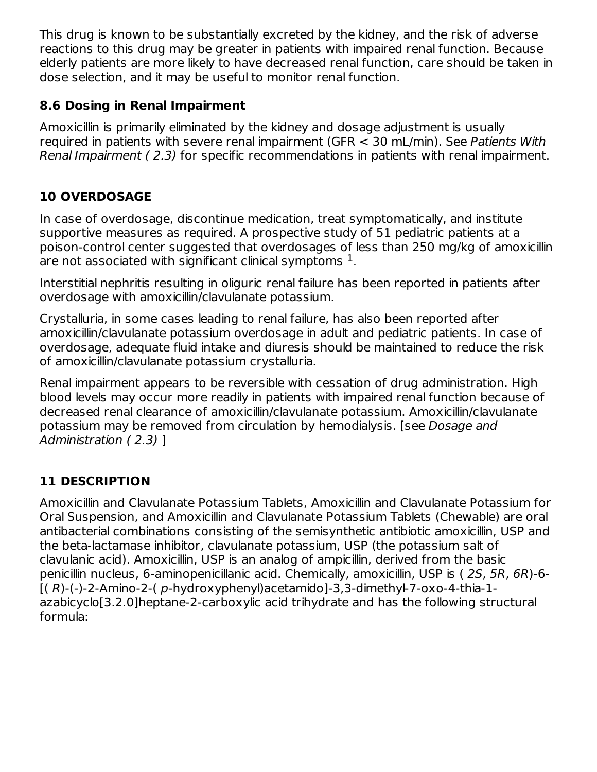This drug is known to be substantially excreted by the kidney, and the risk of adverse reactions to this drug may be greater in patients with impaired renal function. Because elderly patients are more likely to have decreased renal function, care should be taken in dose selection, and it may be useful to monitor renal function.

### **8.6 Dosing in Renal Impairment**

Amoxicillin is primarily eliminated by the kidney and dosage adjustment is usually required in patients with severe renal impairment (GFR < 30 mL/min). See Patients With Renal Impairment ( 2.3) for specific recommendations in patients with renal impairment.

# **10 OVERDOSAGE**

In case of overdosage, discontinue medication, treat symptomatically, and institute supportive measures as required. A prospective study of 51 pediatric patients at a poison-control center suggested that overdosages of less than 250 mg/kg of amoxicillin are not associated with significant clinical symptoms  $^{\rm 1}.$ 

Interstitial nephritis resulting in oliguric renal failure has been reported in patients after overdosage with amoxicillin/clavulanate potassium.

Crystalluria, in some cases leading to renal failure, has also been reported after amoxicillin/clavulanate potassium overdosage in adult and pediatric patients. In case of overdosage, adequate fluid intake and diuresis should be maintained to reduce the risk of amoxicillin/clavulanate potassium crystalluria.

Renal impairment appears to be reversible with cessation of drug administration. High blood levels may occur more readily in patients with impaired renal function because of decreased renal clearance of amoxicillin/clavulanate potassium. Amoxicillin/clavulanate potassium may be removed from circulation by hemodialysis. [see Dosage and Administration ( 2.3) ]

## **11 DESCRIPTION**

Amoxicillin and Clavulanate Potassium Tablets, Amoxicillin and Clavulanate Potassium for Oral Suspension, and Amoxicillin and Clavulanate Potassium Tablets (Chewable) are oral antibacterial combinations consisting of the semisynthetic antibiotic amoxicillin, USP and the beta-lactamase inhibitor, clavulanate potassium, USP (the potassium salt of clavulanic acid). Amoxicillin, USP is an analog of ampicillin, derived from the basic penicillin nucleus, 6-aminopenicillanic acid. Chemically, amoxicillin, USP is ( 2S, 5R, 6R)-6- [( R)-(-)-2-Amino-2-( p-hydroxyphenyl)acetamido]-3,3-dimethyl-7-oxo-4-thia-1 azabicyclo[3.2.0]heptane-2-carboxylic acid trihydrate and has the following structural formula: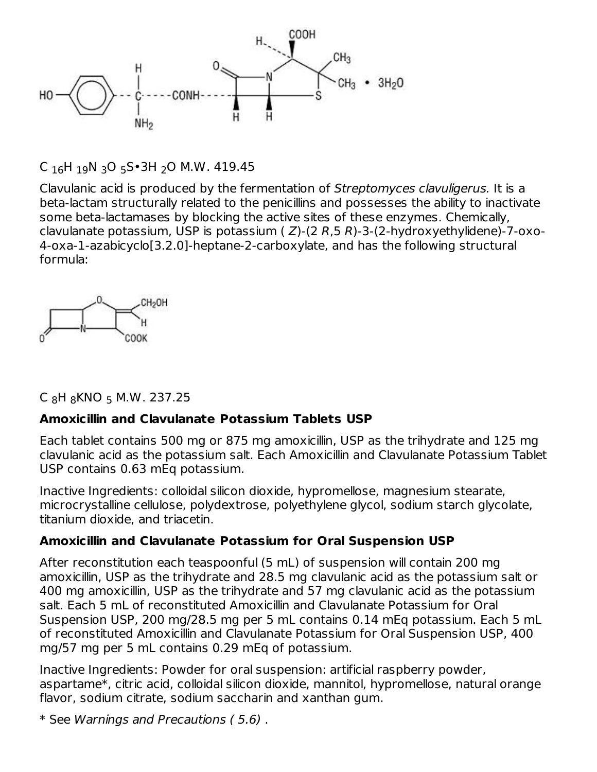

C <sub>16</sub>H <sub>19</sub>N <sub>3</sub>O <sub>5</sub>S•3H <sub>2</sub>O M.W. 419.45

Clavulanic acid is produced by the fermentation of Streptomyces clavuligerus. It is a beta-lactam structurally related to the penicillins and possesses the ability to inactivate some beta-lactamases by blocking the active sites of these enzymes. Chemically, clavulanate potassium, USP is potassium ( $Z$ )-(2 R,5 R)-3-(2-hydroxyethylidene)-7-oxo-4-oxa-1-azabicyclo[3.2.0]-heptane-2-carboxylate, and has the following structural formula:



C <sub>8</sub>H <sub>8</sub>KNO <sub>5</sub> M.W. 237.25

### **Amoxicillin and Clavulanate Potassium Tablets USP**

Each tablet contains 500 mg or 875 mg amoxicillin, USP as the trihydrate and 125 mg clavulanic acid as the potassium salt. Each Amoxicillin and Clavulanate Potassium Tablet USP contains 0.63 mEq potassium.

Inactive Ingredients: colloidal silicon dioxide, hypromellose, magnesium stearate, microcrystalline cellulose, polydextrose, polyethylene glycol, sodium starch glycolate, titanium dioxide, and triacetin.

### **Amoxicillin and Clavulanate Potassium for Oral Suspension USP**

After reconstitution each teaspoonful (5 mL) of suspension will contain 200 mg amoxicillin, USP as the trihydrate and 28.5 mg clavulanic acid as the potassium salt or 400 mg amoxicillin, USP as the trihydrate and 57 mg clavulanic acid as the potassium salt. Each 5 mL of reconstituted Amoxicillin and Clavulanate Potassium for Oral Suspension USP, 200 mg/28.5 mg per 5 mL contains 0.14 mEq potassium. Each 5 mL of reconstituted Amoxicillin and Clavulanate Potassium for Oral Suspension USP, 400 mg/57 mg per 5 mL contains 0.29 mEq of potassium.

Inactive Ingredients: Powder for oral suspension: artificial raspberry powder, aspartame\*, citric acid, colloidal silicon dioxide, mannitol, hypromellose, natural orange flavor, sodium citrate, sodium saccharin and xanthan gum.

\* See Warnings and Precautions ( 5.6) .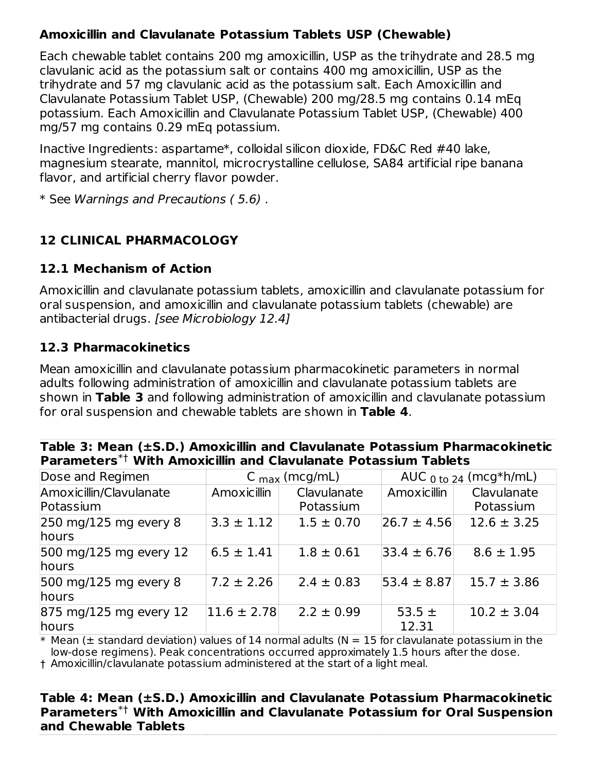### **Amoxicillin and Clavulanate Potassium Tablets USP (Chewable)**

Each chewable tablet contains 200 mg amoxicillin, USP as the trihydrate and 28.5 mg clavulanic acid as the potassium salt or contains 400 mg amoxicillin, USP as the trihydrate and 57 mg clavulanic acid as the potassium salt. Each Amoxicillin and Clavulanate Potassium Tablet USP, (Chewable) 200 mg/28.5 mg contains 0.14 mEq potassium. Each Amoxicillin and Clavulanate Potassium Tablet USP, (Chewable) 400 mg/57 mg contains 0.29 mEq potassium.

Inactive Ingredients: aspartame\*, colloidal silicon dioxide, FD&C Red #40 lake, magnesium stearate, mannitol, microcrystalline cellulose, SA84 artificial ripe banana flavor, and artificial cherry flavor powder.

\* See Warnings and Precautions ( 5.6) .

## **12 CLINICAL PHARMACOLOGY**

### **12.1 Mechanism of Action**

Amoxicillin and clavulanate potassium tablets, amoxicillin and clavulanate potassium for oral suspension, and amoxicillin and clavulanate potassium tablets (chewable) are antibacterial drugs. [see Microbiology 12.4]

### **12.3 Pharmacokinetics**

Mean amoxicillin and clavulanate potassium pharmacokinetic parameters in normal adults following administration of amoxicillin and clavulanate potassium tablets are shown in **Table 3** and following administration of amoxicillin and clavulanate potassium for oral suspension and chewable tablets are shown in **Table 4**.

| Table 3: Mean (±S.D.) Amoxicillin and Clavulanate Potassium Pharmacokinetic |  |
|-----------------------------------------------------------------------------|--|
| Parameters*† With Amoxicillin and Clavulanate Potassium Tablets             |  |

| Dose and Regimen                                   |                 | C $_{max}$ (mcg/mL) |                     | AUC $_0$ to 24 (mcg*h/mL) |
|----------------------------------------------------|-----------------|---------------------|---------------------|---------------------------|
| Amoxicillin/Clavulanate                            | Amoxicillin     | Clavulanate         | Amoxicillin         | Clavulanate               |
| Potassium                                          |                 | Potassium           |                     | Potassium                 |
| $250$ mg/125 mg every 8<br>hours                   | $3.3 \pm 1.12$  | $1.5 \pm 0.70$      | $ 26.7 \pm 4.56 $   | $12.6 \pm 3.25$           |
| 500 mg/125 mg every 12<br><b>hours</b>             | $6.5 \pm 1.41$  | $1.8 \pm 0.61$      | $33.4 \pm 6.76$     | $8.6 \pm 1.95$            |
| 500 mg/125 mg every 8<br><b>hours</b>              | $7.2 \pm 2.26$  | $2.4 \pm 0.83$      | $53.4 \pm 8.87$     | $15.7 \pm 3.86$           |
| $ 875 \text{ mg}/125 \text{ mg}$ every 12<br>hours | $11.6 \pm 2.78$ | $2.2 \pm 0.99$      | 53.5 $\pm$<br>12.31 | $10.2 \pm 3.04$           |

 $\ast$  Mean ( $\pm$  standard deviation) values of 14 normal adults (N = 15 for clavulanate potassium in the low-dose regimens). Peak concentrations occurred approximately 1.5 hours after the dose.

† Amoxicillin/clavulanate potassium administered at the start of a light meal.

#### **Table 4: Mean (±S.D.) Amoxicillin and Clavulanate Potassium Pharmacokinetic Parameters With Amoxicillin and Clavulanate Potassium for Oral Suspension** \*†**and Chewable Tablets**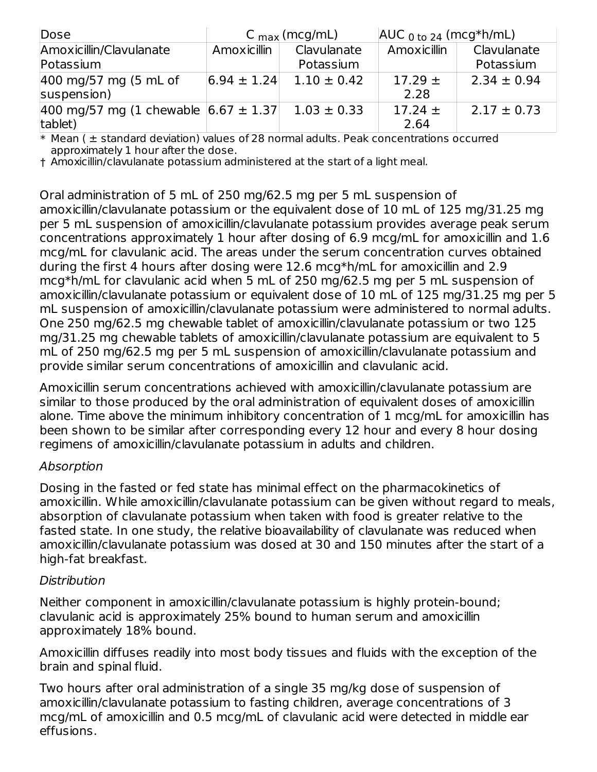| Dose                                                     |                 | $C_{\text{max}}$ (mcg/mL) | $AUC_{0 \text{ to } 24}$ (mcg*h/mL) |                          |
|----------------------------------------------------------|-----------------|---------------------------|-------------------------------------|--------------------------|
| Amoxicillin/Clavulanate<br>Potassium                     | Amoxicillin     | Clavulanate<br>Potassium  | Amoxicillin                         | Clavulanate<br>Potassium |
| $ 400 \text{ mg}}/57 \text{ mg}$ (5 mL of<br>suspension) | $6.94 \pm 1.24$ | $1.10 \pm 0.42$           | $17.29 \pm$<br>2.28                 | $2.34 \pm 0.94$          |
| 400 mg/57 mg (1 chewable $ 6.67 \pm 1.37 $<br>tablet)    |                 | $1.03 \pm 0.33$           | $17.24 \pm$<br>2.64                 | $2.17 \pm 0.73$          |

\* Mean ( ± standard deviation) values of 28 normal adults. Peak concentrations occurred approximately 1 hour after the dose.

† Amoxicillin/clavulanate potassium administered at the start of a light meal.

Oral administration of 5 mL of 250 mg/62.5 mg per 5 mL suspension of

amoxicillin/clavulanate potassium or the equivalent dose of 10 mL of 125 mg/31.25 mg per 5 mL suspension of amoxicillin/clavulanate potassium provides average peak serum concentrations approximately 1 hour after dosing of 6.9 mcg/mL for amoxicillin and 1.6 mcg/mL for clavulanic acid. The areas under the serum concentration curves obtained during the first 4 hours after dosing were 12.6 mcg\*h/mL for amoxicillin and 2.9 mcg\*h/mL for clavulanic acid when 5 mL of 250 mg/62.5 mg per 5 mL suspension of amoxicillin/clavulanate potassium or equivalent dose of 10 mL of 125 mg/31.25 mg per 5 mL suspension of amoxicillin/clavulanate potassium were administered to normal adults. One 250 mg/62.5 mg chewable tablet of amoxicillin/clavulanate potassium or two 125 mg/31.25 mg chewable tablets of amoxicillin/clavulanate potassium are equivalent to 5 mL of 250 mg/62.5 mg per 5 mL suspension of amoxicillin/clavulanate potassium and provide similar serum concentrations of amoxicillin and clavulanic acid.

Amoxicillin serum concentrations achieved with amoxicillin/clavulanate potassium are similar to those produced by the oral administration of equivalent doses of amoxicillin alone. Time above the minimum inhibitory concentration of 1 mcg/mL for amoxicillin has been shown to be similar after corresponding every 12 hour and every 8 hour dosing regimens of amoxicillin/clavulanate potassium in adults and children.

### Absorption

Dosing in the fasted or fed state has minimal effect on the pharmacokinetics of amoxicillin. While amoxicillin/clavulanate potassium can be given without regard to meals, absorption of clavulanate potassium when taken with food is greater relative to the fasted state. In one study, the relative bioavailability of clavulanate was reduced when amoxicillin/clavulanate potassium was dosed at 30 and 150 minutes after the start of a high-fat breakfast.

### Distribution

Neither component in amoxicillin/clavulanate potassium is highly protein-bound; clavulanic acid is approximately 25% bound to human serum and amoxicillin approximately 18% bound.

Amoxicillin diffuses readily into most body tissues and fluids with the exception of the brain and spinal fluid.

Two hours after oral administration of a single 35 mg/kg dose of suspension of amoxicillin/clavulanate potassium to fasting children, average concentrations of 3 mcg/mL of amoxicillin and 0.5 mcg/mL of clavulanic acid were detected in middle ear effusions.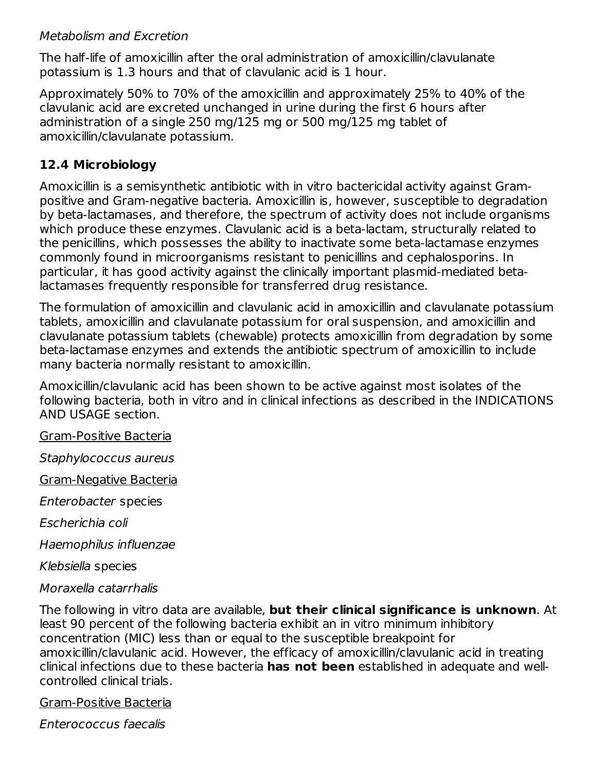### Metabolism and Excretion

The half-life of amoxicillin after the oral administration of amoxicillin/clavulanate potassium is 1.3 hours and that of clavulanic acid is 1 hour.

Approximately 50% to 70% of the amoxicillin and approximately 25% to 40% of the clavulanic acid are excreted unchanged in urine during the first 6 hours after administration of a single 250 mg/125 mg or 500 mg/125 mg tablet of amoxicillin/clavulanate potassium.

### **12.4 Microbiology**

Amoxicillin is a semisynthetic antibiotic with in vitro bactericidal activity against Grampositive and Gram-negative bacteria. Amoxicillin is, however, susceptible to degradation by beta-lactamases, and therefore, the spectrum of activity does not include organisms which produce these enzymes. Clavulanic acid is a beta-lactam, structurally related to the penicillins, which possesses the ability to inactivate some beta-lactamase enzymes commonly found in microorganisms resistant to penicillins and cephalosporins. In particular, it has good activity against the clinically important plasmid-mediated betalactamases frequently responsible for transferred drug resistance.

The formulation of amoxicillin and clavulanic acid in amoxicillin and clavulanate potassium tablets, amoxicillin and clavulanate potassium for oral suspension, and amoxicillin and clavulanate potassium tablets (chewable) protects amoxicillin from degradation by some beta-lactamase enzymes and extends the antibiotic spectrum of amoxicillin to include many bacteria normally resistant to amoxicillin.

Amoxicillin/clavulanic acid has been shown to be active against most isolates of the following bacteria, both in vitro and in clinical infections as described in the INDICATIONS AND USAGE section.

Gram-Positive Bacteria

Staphylococcus aureus

Gram-Negative Bacteria

Enterobacter species

Escherichia coli

Haemophilus influenzae

Klebsiella species

#### Moraxella catarrhalis

The following in vitro data are available, **but their clinical significance is unknown**. At least 90 percent of the following bacteria exhibit an in vitro minimum inhibitory concentration (MIC) less than or equal to the susceptible breakpoint for amoxicillin/clavulanic acid. However, the efficacy of amoxicillin/clavulanic acid in treating clinical infections due to these bacteria **has not been** established in adequate and wellcontrolled clinical trials.

Gram-Positive Bacteria

Enterococcus faecalis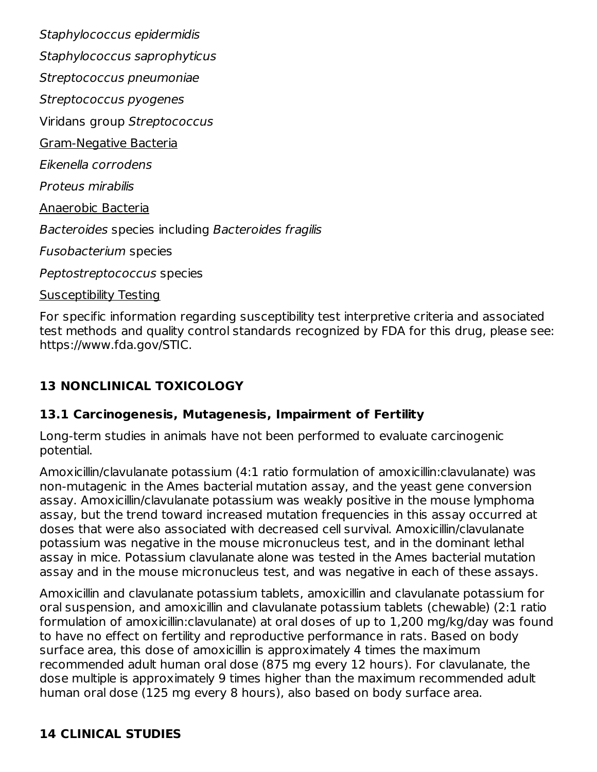Staphylococcus epidermidis Staphylococcus saprophyticus Streptococcus pneumoniae Streptococcus pyogenes Viridans group Streptococcus Gram-Negative Bacteria Eikenella corrodens Proteus mirabilis Anaerobic Bacteria Bacteroides species including Bacteroides fragilis Fusobacterium species Peptostreptococcus species Susceptibility Testing

For specific information regarding susceptibility test interpretive criteria and associated test methods and quality control standards recognized by FDA for this drug, please see: https://www.fda.gov/STIC.

## **13 NONCLINICAL TOXICOLOGY**

### **13.1 Carcinogenesis, Mutagenesis, Impairment of Fertility**

Long-term studies in animals have not been performed to evaluate carcinogenic potential.

Amoxicillin/clavulanate potassium (4:1 ratio formulation of amoxicillin:clavulanate) was non-mutagenic in the Ames bacterial mutation assay, and the yeast gene conversion assay. Amoxicillin/clavulanate potassium was weakly positive in the mouse lymphoma assay, but the trend toward increased mutation frequencies in this assay occurred at doses that were also associated with decreased cell survival. Amoxicillin/clavulanate potassium was negative in the mouse micronucleus test, and in the dominant lethal assay in mice. Potassium clavulanate alone was tested in the Ames bacterial mutation assay and in the mouse micronucleus test, and was negative in each of these assays.

Amoxicillin and clavulanate potassium tablets, amoxicillin and clavulanate potassium for oral suspension, and amoxicillin and clavulanate potassium tablets (chewable) (2:1 ratio formulation of amoxicillin:clavulanate) at oral doses of up to 1,200 mg/kg/day was found to have no effect on fertility and reproductive performance in rats. Based on body surface area, this dose of amoxicillin is approximately 4 times the maximum recommended adult human oral dose (875 mg every 12 hours). For clavulanate, the dose multiple is approximately 9 times higher than the maximum recommended adult human oral dose (125 mg every 8 hours), also based on body surface area.

### **14 CLINICAL STUDIES**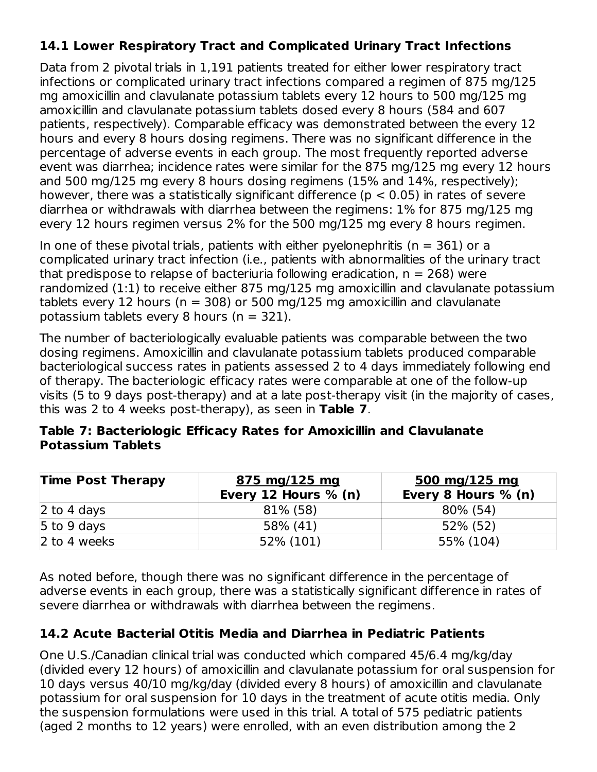## **14.1 Lower Respiratory Tract and Complicated Urinary Tract Infections**

Data from 2 pivotal trials in 1,191 patients treated for either lower respiratory tract infections or complicated urinary tract infections compared a regimen of 875 mg/125 mg amoxicillin and clavulanate potassium tablets every 12 hours to 500 mg/125 mg amoxicillin and clavulanate potassium tablets dosed every 8 hours (584 and 607 patients, respectively). Comparable efficacy was demonstrated between the every 12 hours and every 8 hours dosing regimens. There was no significant difference in the percentage of adverse events in each group. The most frequently reported adverse event was diarrhea; incidence rates were similar for the 875 mg/125 mg every 12 hours and 500 mg/125 mg every 8 hours dosing regimens (15% and 14%, respectively); however, there was a statistically significant difference ( $p < 0.05$ ) in rates of severe diarrhea or withdrawals with diarrhea between the regimens: 1% for 875 mg/125 mg every 12 hours regimen versus 2% for the 500 mg/125 mg every 8 hours regimen.

In one of these pivotal trials, patients with either pyelonephritis ( $n = 361$ ) or a complicated urinary tract infection (i.e., patients with abnormalities of the urinary tract that predispose to relapse of bacteriuria following eradication,  $n = 268$ ) were randomized (1:1) to receive either 875 mg/125 mg amoxicillin and clavulanate potassium tablets every 12 hours ( $n = 308$ ) or 500 mg/125 mg amoxicillin and clavulanate potassium tablets every 8 hours ( $n = 321$ ).

The number of bacteriologically evaluable patients was comparable between the two dosing regimens. Amoxicillin and clavulanate potassium tablets produced comparable bacteriological success rates in patients assessed 2 to 4 days immediately following end of therapy. The bacteriologic efficacy rates were comparable at one of the follow-up visits (5 to 9 days post-therapy) and at a late post-therapy visit (in the majority of cases, this was 2 to 4 weeks post-therapy), as seen in **Table 7**.

#### **Table 7: Bacteriologic Efficacy Rates for Amoxicillin and Clavulanate Potassium Tablets**

| <b>Time Post Therapy</b> | 875 mg/125 mg<br>Every 12 Hours $% (n)$ | $500 \; \text{mg}/125 \; \text{mg}$<br>Every 8 Hours % (n) |
|--------------------------|-----------------------------------------|------------------------------------------------------------|
| 2 to 4 days              | 81% (58)                                | 80% (54)                                                   |
| 5 to 9 days              | 58% (41)                                | 52% (52)                                                   |
| 2 to 4 weeks             | 52% (101)                               | 55% (104)                                                  |

As noted before, though there was no significant difference in the percentage of adverse events in each group, there was a statistically significant difference in rates of severe diarrhea or withdrawals with diarrhea between the regimens.

## **14.2 Acute Bacterial Otitis Media and Diarrhea in Pediatric Patients**

One U.S./Canadian clinical trial was conducted which compared 45/6.4 mg/kg/day (divided every 12 hours) of amoxicillin and clavulanate potassium for oral suspension for 10 days versus 40/10 mg/kg/day (divided every 8 hours) of amoxicillin and clavulanate potassium for oral suspension for 10 days in the treatment of acute otitis media. Only the suspension formulations were used in this trial. A total of 575 pediatric patients (aged 2 months to 12 years) were enrolled, with an even distribution among the 2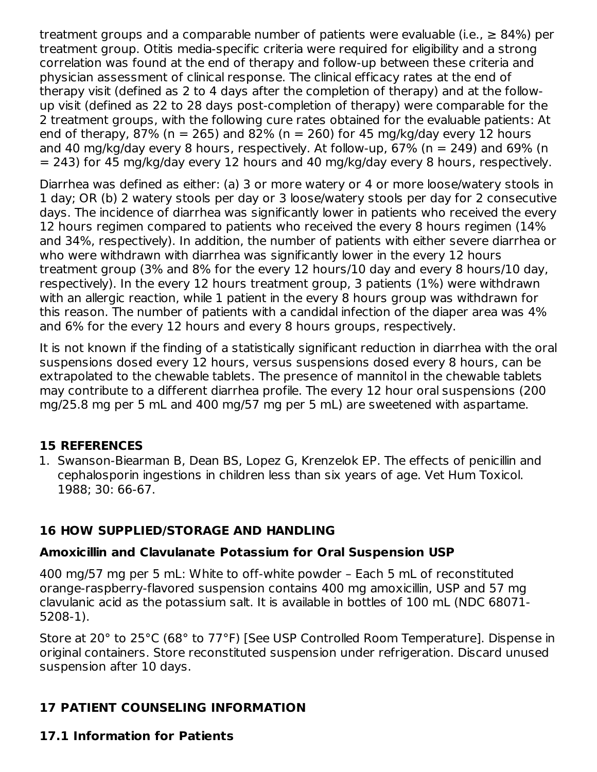treatment groups and a comparable number of patients were evaluable (i.e.,  $\geq 84\%$ ) per treatment group. Otitis media-specific criteria were required for eligibility and a strong correlation was found at the end of therapy and follow-up between these criteria and physician assessment of clinical response. The clinical efficacy rates at the end of therapy visit (defined as 2 to 4 days after the completion of therapy) and at the followup visit (defined as 22 to 28 days post-completion of therapy) were comparable for the 2 treatment groups, with the following cure rates obtained for the evaluable patients: At end of therapy, 87% (n = 265) and 82% (n = 260) for 45 mg/kg/day every 12 hours and 40 mg/kg/day every 8 hours, respectively. At follow-up,  $67\%$  (n = 249) and  $69\%$  (n = 243) for 45 mg/kg/day every 12 hours and 40 mg/kg/day every 8 hours, respectively.

Diarrhea was defined as either: (a) 3 or more watery or 4 or more loose/watery stools in 1 day; OR (b) 2 watery stools per day or 3 loose/watery stools per day for 2 consecutive days. The incidence of diarrhea was significantly lower in patients who received the every 12 hours regimen compared to patients who received the every 8 hours regimen (14% and 34%, respectively). In addition, the number of patients with either severe diarrhea or who were withdrawn with diarrhea was significantly lower in the every 12 hours treatment group (3% and 8% for the every 12 hours/10 day and every 8 hours/10 day, respectively). In the every 12 hours treatment group, 3 patients (1%) were withdrawn with an allergic reaction, while 1 patient in the every 8 hours group was withdrawn for this reason. The number of patients with a candidal infection of the diaper area was 4% and 6% for the every 12 hours and every 8 hours groups, respectively.

It is not known if the finding of a statistically significant reduction in diarrhea with the oral suspensions dosed every 12 hours, versus suspensions dosed every 8 hours, can be extrapolated to the chewable tablets. The presence of mannitol in the chewable tablets may contribute to a different diarrhea profile. The every 12 hour oral suspensions (200 mg/25.8 mg per 5 mL and 400 mg/57 mg per 5 mL) are sweetened with aspartame.

### **15 REFERENCES**

1. Swanson-Biearman B, Dean BS, Lopez G, Krenzelok EP. The effects of penicillin and cephalosporin ingestions in children less than six years of age. Vet Hum Toxicol. 1988; 30: 66-67.

## **16 HOW SUPPLIED/STORAGE AND HANDLING**

### **Amoxicillin and Clavulanate Potassium for Oral Suspension USP**

400 mg/57 mg per 5 mL: White to off-white powder – Each 5 mL of reconstituted orange-raspberry-flavored suspension contains 400 mg amoxicillin, USP and 57 mg clavulanic acid as the potassium salt. It is available in bottles of 100 mL (NDC 68071- 5208-1).

Store at 20° to 25°C (68° to 77°F) [See USP Controlled Room Temperature]. Dispense in original containers. Store reconstituted suspension under refrigeration. Discard unused suspension after 10 days.

## **17 PATIENT COUNSELING INFORMATION**

## **17.1 Information for Patients**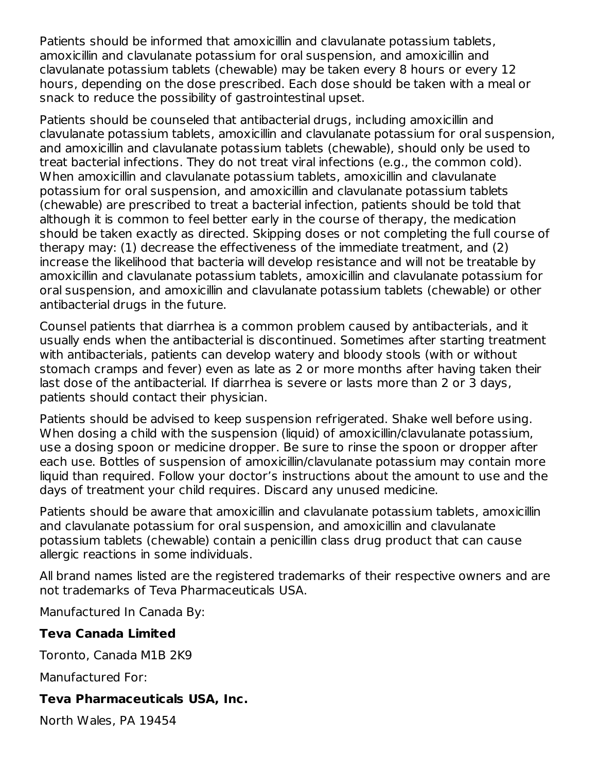Patients should be informed that amoxicillin and clavulanate potassium tablets, amoxicillin and clavulanate potassium for oral suspension, and amoxicillin and clavulanate potassium tablets (chewable) may be taken every 8 hours or every 12 hours, depending on the dose prescribed. Each dose should be taken with a meal or snack to reduce the possibility of gastrointestinal upset.

Patients should be counseled that antibacterial drugs, including amoxicillin and clavulanate potassium tablets, amoxicillin and clavulanate potassium for oral suspension, and amoxicillin and clavulanate potassium tablets (chewable), should only be used to treat bacterial infections. They do not treat viral infections (e.g., the common cold). When amoxicillin and clavulanate potassium tablets, amoxicillin and clavulanate potassium for oral suspension, and amoxicillin and clavulanate potassium tablets (chewable) are prescribed to treat a bacterial infection, patients should be told that although it is common to feel better early in the course of therapy, the medication should be taken exactly as directed. Skipping doses or not completing the full course of therapy may: (1) decrease the effectiveness of the immediate treatment, and (2) increase the likelihood that bacteria will develop resistance and will not be treatable by amoxicillin and clavulanate potassium tablets, amoxicillin and clavulanate potassium for oral suspension, and amoxicillin and clavulanate potassium tablets (chewable) or other antibacterial drugs in the future.

Counsel patients that diarrhea is a common problem caused by antibacterials, and it usually ends when the antibacterial is discontinued. Sometimes after starting treatment with antibacterials, patients can develop watery and bloody stools (with or without stomach cramps and fever) even as late as 2 or more months after having taken their last dose of the antibacterial. If diarrhea is severe or lasts more than 2 or 3 days, patients should contact their physician.

Patients should be advised to keep suspension refrigerated. Shake well before using. When dosing a child with the suspension (liquid) of amoxicillin/clavulanate potassium, use a dosing spoon or medicine dropper. Be sure to rinse the spoon or dropper after each use. Bottles of suspension of amoxicillin/clavulanate potassium may contain more liquid than required. Follow your doctor's instructions about the amount to use and the days of treatment your child requires. Discard any unused medicine.

Patients should be aware that amoxicillin and clavulanate potassium tablets, amoxicillin and clavulanate potassium for oral suspension, and amoxicillin and clavulanate potassium tablets (chewable) contain a penicillin class drug product that can cause allergic reactions in some individuals.

All brand names listed are the registered trademarks of their respective owners and are not trademarks of Teva Pharmaceuticals USA.

Manufactured In Canada By:

### **Teva Canada Limited**

Toronto, Canada M1B 2K9

Manufactured For:

### **Teva Pharmaceuticals USA, Inc.**

North Wales, PA 19454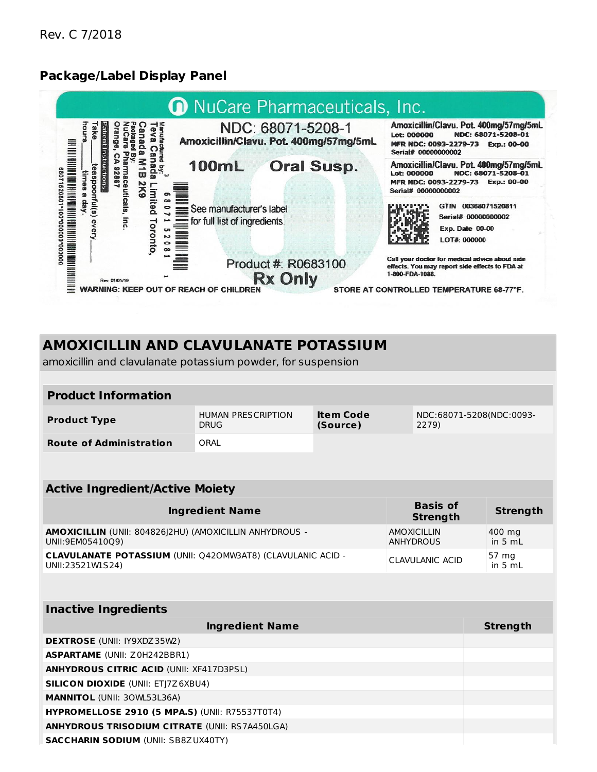### **Package/Label Display Panel**

**Active Ingredient/Active Moiety**



## **AMOXICILLIN AND CLAVULANATE POTASSIUM**

amoxicillin and clavulanate potassium powder, for suspension

| <b>Product Information</b>     |                                          |                       |                                   |  |  |
|--------------------------------|------------------------------------------|-----------------------|-----------------------------------|--|--|
| <b>Product Type</b>            | <b>HUMAN PRESCRIPTION</b><br><b>DRUG</b> | Item Code<br>(Source) | NDC:68071-5208(NDC:0093-<br>2279) |  |  |
| <b>Route of Administration</b> | ORAL                                     |                       |                                   |  |  |

| ACCIVE THEFTER CIRCUITE MURICY                                                         |                                        |                     |
|----------------------------------------------------------------------------------------|----------------------------------------|---------------------|
| <b>Ingredient Name</b>                                                                 | <b>Basis of</b><br><b>Strength</b>     | Strength            |
| AMOXICILLIN (UNII: 804826)2HU) (AMOXICILLIN ANHYDROUS -<br>UNII:9EM05410Q9)            | <b>AMOXICILLIN</b><br><b>ANHYDROUS</b> | 400 mg<br>in $5 mL$ |
| <b>CLAVULANATE POTASSIUM (UNII: Q420MW3AT8) (CLAVULANIC ACID -</b><br>UNII:23521W1S24) | <b>CLAVULANIC ACID</b>                 | 57 mg<br>in 5 $mL$  |

| <b>Inactive Ingredients</b>                           |                 |
|-------------------------------------------------------|-----------------|
| <b>Ingredient Name</b>                                | <b>Strength</b> |
| <b>DEXTROSE</b> (UNII: IY9XDZ 35W2)                   |                 |
| <b>ASPARTAME</b> (UNII: Z0H242BBR1)                   |                 |
| <b>ANHYDROUS CITRIC ACID (UNII: XF417D3PSL)</b>       |                 |
| <b>SILICON DIOXIDE (UNII: ETJ7Z6XBU4)</b>             |                 |
| <b>MANNITOL (UNII: 30WL53L36A)</b>                    |                 |
| <b>HYPROMELLOSE 2910 (5 MPA.S) (UNII: R75537T0T4)</b> |                 |
| <b>ANHYDROUS TRISODIUM CITRATE (UNII: RS7A450LGA)</b> |                 |
| <b>SACCHARIN SODIUM (UNII: SB8ZUX40TY)</b>            |                 |